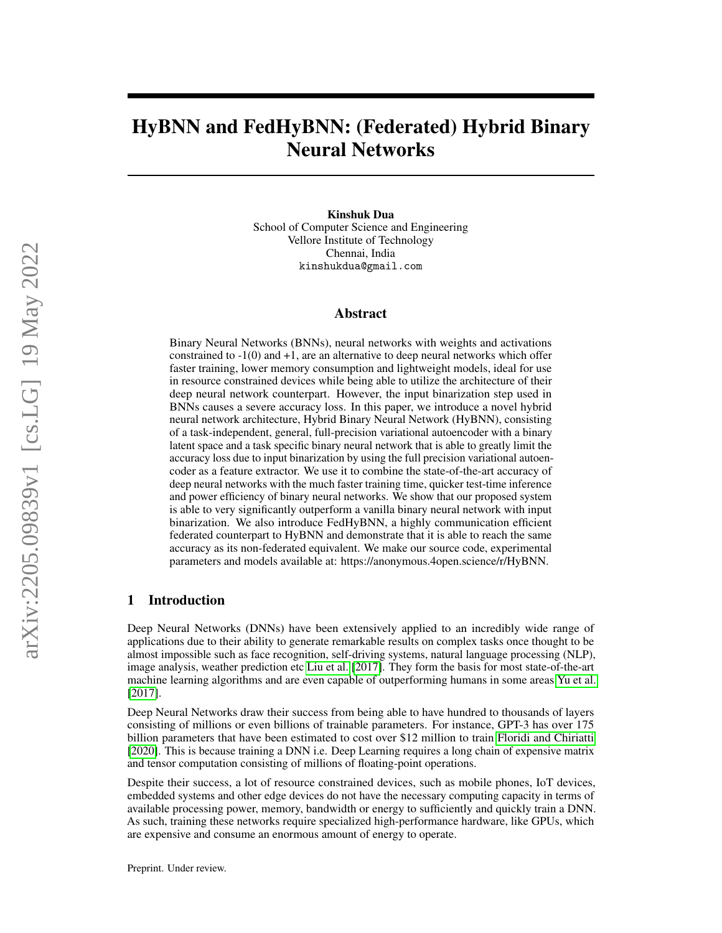# HyBNN and FedHyBNN: (Federated) Hybrid Binary Neural Networks

Kinshuk Dua

School of Computer Science and Engineering Vellore Institute of Technology Chennai, India kinshukdua@gmail.com

#### Abstract

Binary Neural Networks (BNNs), neural networks with weights and activations constrained to  $-1(0)$  and  $+1$ , are an alternative to deep neural networks which offer faster training, lower memory consumption and lightweight models, ideal for use in resource constrained devices while being able to utilize the architecture of their deep neural network counterpart. However, the input binarization step used in BNNs causes a severe accuracy loss. In this paper, we introduce a novel hybrid neural network architecture, Hybrid Binary Neural Network (HyBNN), consisting of a task-independent, general, full-precision variational autoencoder with a binary latent space and a task specific binary neural network that is able to greatly limit the accuracy loss due to input binarization by using the full precision variational autoencoder as a feature extractor. We use it to combine the state-of-the-art accuracy of deep neural networks with the much faster training time, quicker test-time inference and power efficiency of binary neural networks. We show that our proposed system is able to very significantly outperform a vanilla binary neural network with input binarization. We also introduce FedHyBNN, a highly communication efficient federated counterpart to HyBNN and demonstrate that it is able to reach the same accuracy as its non-federated equivalent. We make our source code, experimental parameters and models available at: https://anonymous.4open.science/r/HyBNN.

### 1 Introduction

Deep Neural Networks (DNNs) have been extensively applied to an incredibly wide range of applications due to their ability to generate remarkable results on complex tasks once thought to be almost impossible such as face recognition, self-driving systems, natural language processing (NLP), image analysis, weather prediction etc [Liu et al.](#page-8-0) [\[2017\]](#page-8-0). They form the basis for most state-of-the-art machine learning algorithms and are even capable of outperforming humans in some areas [Yu et al.](#page-8-1) [\[2017\]](#page-8-1).

Deep Neural Networks draw their success from being able to have hundred to thousands of layers consisting of millions or even billions of trainable parameters. For instance, GPT-3 has over 175 billion parameters that have been estimated to cost over \$12 million to train [Floridi and Chiriatti](#page-8-2) [\[2020\]](#page-8-2). This is because training a DNN i.e. Deep Learning requires a long chain of expensive matrix and tensor computation consisting of millions of floating-point operations.

Despite their success, a lot of resource constrained devices, such as mobile phones, IoT devices, embedded systems and other edge devices do not have the necessary computing capacity in terms of available processing power, memory, bandwidth or energy to sufficiently and quickly train a DNN. As such, training these networks require specialized high-performance hardware, like GPUs, which are expensive and consume an enormous amount of energy to operate.

Preprint. Under review.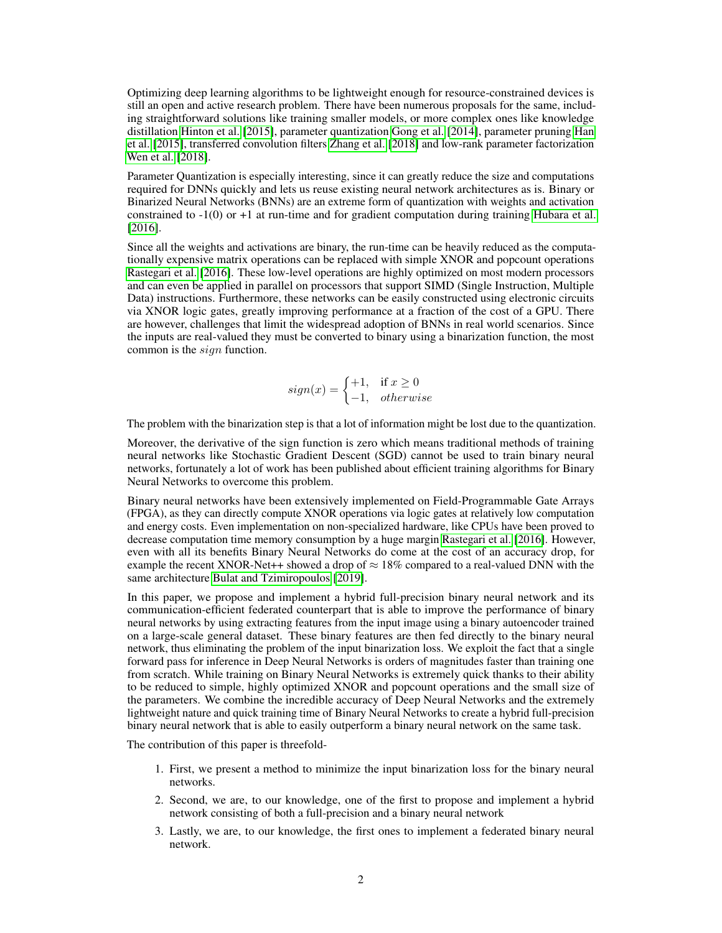Optimizing deep learning algorithms to be lightweight enough for resource-constrained devices is still an open and active research problem. There have been numerous proposals for the same, including straightforward solutions like training smaller models, or more complex ones like knowledge distillation [Hinton et al.](#page-8-3) [\[2015\]](#page-8-3), parameter quantization [Gong et al.](#page-9-0) [\[2014\]](#page-9-0), parameter pruning [Han](#page-9-1) [et al.](#page-9-1) [\[2015\]](#page-9-1), transferred convolution filters [Zhang et al.](#page-9-2) [\[2018\]](#page-9-2) and low-rank parameter factorization [Wen et al.](#page-9-3) [\[2018\]](#page-9-3).

Parameter Quantization is especially interesting, since it can greatly reduce the size and computations required for DNNs quickly and lets us reuse existing neural network architectures as is. Binary or Binarized Neural Networks (BNNs) are an extreme form of quantization with weights and activation constrained to -1(0) or +1 at run-time and for gradient computation during training [Hubara et al.](#page-9-4) [\[2016\]](#page-9-4).

Since all the weights and activations are binary, the run-time can be heavily reduced as the computationally expensive matrix operations can be replaced with simple XNOR and popcount operations [Rastegari et al.](#page-9-5) [\[2016\]](#page-9-5). These low-level operations are highly optimized on most modern processors and can even be applied in parallel on processors that support SIMD (Single Instruction, Multiple Data) instructions. Furthermore, these networks can be easily constructed using electronic circuits via XNOR logic gates, greatly improving performance at a fraction of the cost of a GPU. There are however, challenges that limit the widespread adoption of BNNs in real world scenarios. Since the inputs are real-valued they must be converted to binary using a binarization function, the most common is the sign function.

$$
sign(x) = \begin{cases} +1, & \text{if } x \ge 0\\ -1, & otherwise \end{cases}
$$

The problem with the binarization step is that a lot of information might be lost due to the quantization.

Moreover, the derivative of the sign function is zero which means traditional methods of training neural networks like Stochastic Gradient Descent (SGD) cannot be used to train binary neural networks, fortunately a lot of work has been published about efficient training algorithms for Binary Neural Networks to overcome this problem.

Binary neural networks have been extensively implemented on Field-Programmable Gate Arrays (FPGA), as they can directly compute XNOR operations via logic gates at relatively low computation and energy costs. Even implementation on non-specialized hardware, like CPUs have been proved to decrease computation time memory consumption by a huge margin [Rastegari et al.](#page-9-5) [\[2016\]](#page-9-5). However, even with all its benefits Binary Neural Networks do come at the cost of an accuracy drop, for example the recent XNOR-Net++ showed a drop of  $\approx 18\%$  compared to a real-valued DNN with the same architecture [Bulat and Tzimiropoulos](#page-9-6) [\[2019\]](#page-9-6).

In this paper, we propose and implement a hybrid full-precision binary neural network and its communication-efficient federated counterpart that is able to improve the performance of binary neural networks by using extracting features from the input image using a binary autoencoder trained on a large-scale general dataset. These binary features are then fed directly to the binary neural network, thus eliminating the problem of the input binarization loss. We exploit the fact that a single forward pass for inference in Deep Neural Networks is orders of magnitudes faster than training one from scratch. While training on Binary Neural Networks is extremely quick thanks to their ability to be reduced to simple, highly optimized XNOR and popcount operations and the small size of the parameters. We combine the incredible accuracy of Deep Neural Networks and the extremely lightweight nature and quick training time of Binary Neural Networks to create a hybrid full-precision binary neural network that is able to easily outperform a binary neural network on the same task.

The contribution of this paper is threefold-

- 1. First, we present a method to minimize the input binarization loss for the binary neural networks.
- 2. Second, we are, to our knowledge, one of the first to propose and implement a hybrid network consisting of both a full-precision and a binary neural network
- 3. Lastly, we are, to our knowledge, the first ones to implement a federated binary neural network.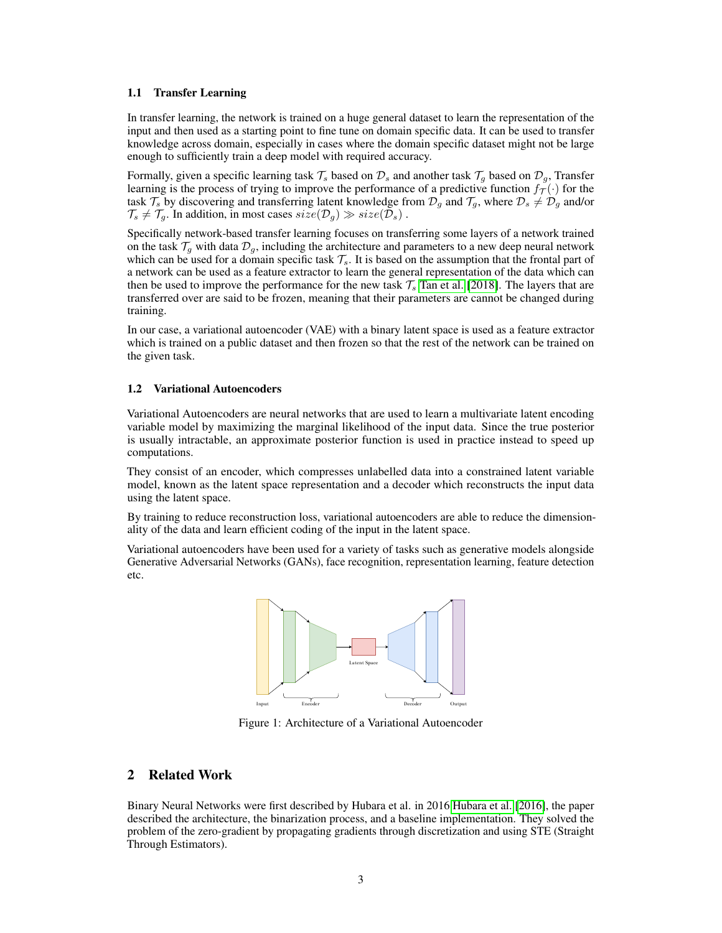#### 1.1 Transfer Learning

In transfer learning, the network is trained on a huge general dataset to learn the representation of the input and then used as a starting point to fine tune on domain specific data. It can be used to transfer knowledge across domain, especially in cases where the domain specific dataset might not be large enough to sufficiently train a deep model with required accuracy.

Formally, given a specific learning task  $\mathcal{T}_s$  based on  $\mathcal{D}_s$  and another task  $\mathcal{T}_q$  based on  $\mathcal{D}_q$ , Transfer learning is the process of trying to improve the performance of a predictive function  $f_{\mathcal{T}}(\cdot)$  for the task  $\mathcal{T}_s$  by discovering and transferring latent knowledge from  $\mathcal{D}_g$  and  $\mathcal{T}_g$ , where  $\mathcal{D}_s \neq \mathcal{D}_g$  and/or  $\mathcal{T}_s \neq \mathcal{T}_q$ . In addition, in most cases  $size(\mathcal{D}_q) \gg size(\mathcal{D}_s)$ .

Specifically network-based transfer learning focuses on transferring some layers of a network trained on the task  $\mathcal{T}_q$  with data  $\mathcal{D}_q$ , including the architecture and parameters to a new deep neural network which can be used for a domain specific task  $\mathcal{T}_s$ . It is based on the assumption that the frontal part of a network can be used as a feature extractor to learn the general representation of the data which can then be used to improve the performance for the new task  $\mathcal{T}_s$  [Tan et al.](#page-9-7) [\[2018\]](#page-9-7). The layers that are transferred over are said to be frozen, meaning that their parameters are cannot be changed during training.

In our case, a variational autoencoder (VAE) with a binary latent space is used as a feature extractor which is trained on a public dataset and then frozen so that the rest of the network can be trained on the given task.

#### 1.2 Variational Autoencoders

Variational Autoencoders are neural networks that are used to learn a multivariate latent encoding variable model by maximizing the marginal likelihood of the input data. Since the true posterior is usually intractable, an approximate posterior function is used in practice instead to speed up computations.

They consist of an encoder, which compresses unlabelled data into a constrained latent variable model, known as the latent space representation and a decoder which reconstructs the input data using the latent space.

By training to reduce reconstruction loss, variational autoencoders are able to reduce the dimensionality of the data and learn efficient coding of the input in the latent space.

Variational autoencoders have been used for a variety of tasks such as generative models alongside Generative Adversarial Networks (GANs), face recognition, representation learning, feature detection etc.



Figure 1: Architecture of a Variational Autoencoder

## <span id="page-2-0"></span>2 Related Work

Binary Neural Networks were first described by Hubara et al. in 2016 [Hubara et al.](#page-9-4) [\[2016\]](#page-9-4), the paper described the architecture, the binarization process, and a baseline implementation. They solved the problem of the zero-gradient by propagating gradients through discretization and using STE (Straight Through Estimators).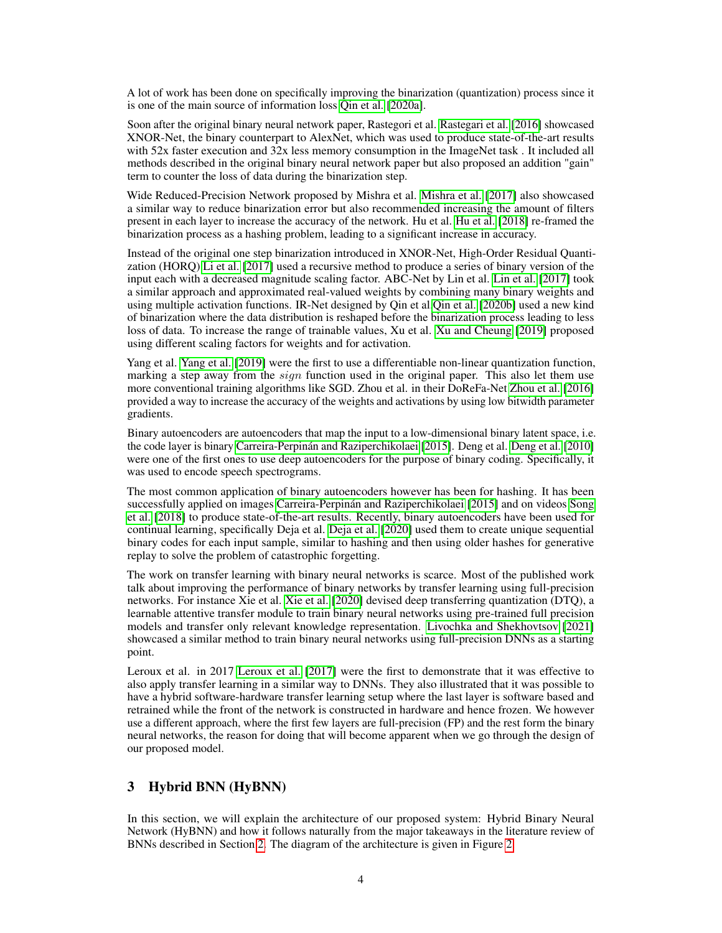A lot of work has been done on specifically improving the binarization (quantization) process since it is one of the main source of information loss [Qin et al.](#page-9-8) [\[2020a\]](#page-9-8).

Soon after the original binary neural network paper, Rastegori et al. [Rastegari et al.](#page-9-5) [\[2016\]](#page-9-5) showcased XNOR-Net, the binary counterpart to AlexNet, which was used to produce state-of-the-art results with 52x faster execution and 32x less memory consumption in the ImageNet task. It included all methods described in the original binary neural network paper but also proposed an addition "gain" term to counter the loss of data during the binarization step.

Wide Reduced-Precision Network proposed by Mishra et al. [Mishra et al.](#page-9-9) [\[2017\]](#page-9-9) also showcased a similar way to reduce binarization error but also recommended increasing the amount of filters present in each layer to increase the accuracy of the network. Hu et al. [Hu et al.](#page-9-10) [\[2018\]](#page-9-10) re-framed the binarization process as a hashing problem, leading to a significant increase in accuracy.

Instead of the original one step binarization introduced in XNOR-Net, High-Order Residual Quantization (HORQ) [Li et al.](#page-9-11) [\[2017\]](#page-9-11) used a recursive method to produce a series of binary version of the input each with a decreased magnitude scaling factor. ABC-Net by Lin et al. [Lin et al.](#page-9-12) [\[2017\]](#page-9-12) took a similar approach and approximated real-valued weights by combining many binary weights and using multiple activation functions. IR-Net designed by Qin et al[.Qin et al.](#page-9-13) [\[2020b\]](#page-9-13) used a new kind of binarization where the data distribution is reshaped before the binarization process leading to less loss of data. To increase the range of trainable values, Xu et al. [Xu and Cheung](#page-9-14) [\[2019\]](#page-9-14) proposed using different scaling factors for weights and for activation.

Yang et al. [Yang et al.](#page-9-15) [\[2019\]](#page-9-15) were the first to use a differentiable non-linear quantization function, marking a step away from the  $sign$  function used in the original paper. This also let them use more conventional training algorithms like SGD. Zhou et al. in their DoReFa-Net [Zhou et al.](#page-9-16) [\[2016\]](#page-9-16) provided a way to increase the accuracy of the weights and activations by using low bitwidth parameter gradients.

Binary autoencoders are autoencoders that map the input to a low-dimensional binary latent space, i.e. the code layer is binary [Carreira-Perpinán and Raziperchikolaei](#page-9-17) [\[2015\]](#page-9-17). Deng et al. [Deng et al.](#page-10-0) [\[2010\]](#page-10-0) were one of the first ones to use deep autoencoders for the purpose of binary coding. Specifically, it was used to encode speech spectrograms.

The most common application of binary autoencoders however has been for hashing. It has been successfully applied on images [Carreira-Perpinán and Raziperchikolaei](#page-9-17) [\[2015\]](#page-9-17) and on videos [Song](#page-10-1) [et al.](#page-10-1) [\[2018\]](#page-10-1) to produce state-of-the-art results. Recently, binary autoencoders have been used for continual learning, specifically Deja et al. [Deja et al.](#page-10-2) [\[2020\]](#page-10-2) used them to create unique sequential binary codes for each input sample, similar to hashing and then using older hashes for generative replay to solve the problem of catastrophic forgetting.

The work on transfer learning with binary neural networks is scarce. Most of the published work talk about improving the performance of binary networks by transfer learning using full-precision networks. For instance Xie et al. [Xie et al.](#page-10-3) [\[2020\]](#page-10-3) devised deep transferring quantization (DTQ), a learnable attentive transfer module to train binary neural networks using pre-trained full precision models and transfer only relevant knowledge representation. [Livochka and Shekhovtsov](#page-10-4) [\[2021\]](#page-10-4) showcased a similar method to train binary neural networks using full-precision DNNs as a starting point.

Leroux et al. in 2017 [Leroux et al.](#page-10-5) [\[2017\]](#page-10-5) were the first to demonstrate that it was effective to also apply transfer learning in a similar way to DNNs. They also illustrated that it was possible to have a hybrid software-hardware transfer learning setup where the last layer is software based and retrained while the front of the network is constructed in hardware and hence frozen. We however use a different approach, where the first few layers are full-precision (FP) and the rest form the binary neural networks, the reason for doing that will become apparent when we go through the design of our proposed model.

## 3 Hybrid BNN (HyBNN)

In this section, we will explain the architecture of our proposed system: Hybrid Binary Neural Network (HyBNN) and how it follows naturally from the major takeaways in the literature review of BNNs described in Section [2.](#page-2-0) The diagram of the architecture is given in Figure [2.](#page-4-0)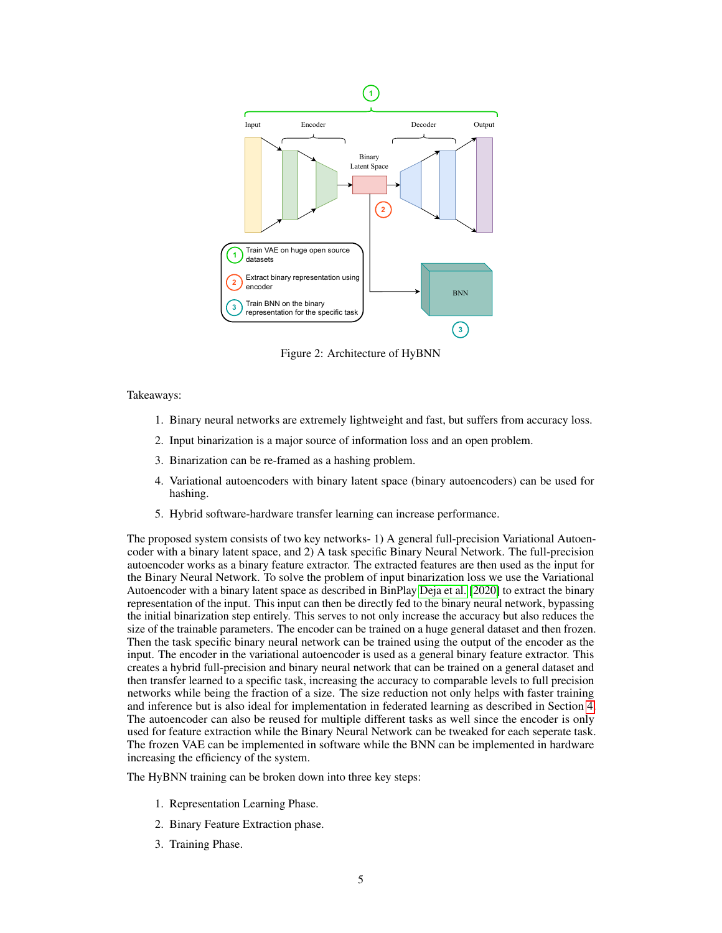<span id="page-4-0"></span>

Figure 2: Architecture of HyBNN

Takeaways:

- 1. Binary neural networks are extremely lightweight and fast, but suffers from accuracy loss.
- 2. Input binarization is a major source of information loss and an open problem.
- 3. Binarization can be re-framed as a hashing problem.
- 4. Variational autoencoders with binary latent space (binary autoencoders) can be used for hashing.
- 5. Hybrid software-hardware transfer learning can increase performance.

The proposed system consists of two key networks- 1) A general full-precision Variational Autoencoder with a binary latent space, and 2) A task specific Binary Neural Network. The full-precision autoencoder works as a binary feature extractor. The extracted features are then used as the input for the Binary Neural Network. To solve the problem of input binarization loss we use the Variational Autoencoder with a binary latent space as described in BinPlay [Deja et al.](#page-10-2) [\[2020\]](#page-10-2) to extract the binary representation of the input. This input can then be directly fed to the binary neural network, bypassing the initial binarization step entirely. This serves to not only increase the accuracy but also reduces the size of the trainable parameters. The encoder can be trained on a huge general dataset and then frozen. Then the task specific binary neural network can be trained using the output of the encoder as the input. The encoder in the variational autoencoder is used as a general binary feature extractor. This creates a hybrid full-precision and binary neural network that can be trained on a general dataset and then transfer learned to a specific task, increasing the accuracy to comparable levels to full precision networks while being the fraction of a size. The size reduction not only helps with faster training and inference but is also ideal for implementation in federated learning as described in Section [4.](#page-5-0) The autoencoder can also be reused for multiple different tasks as well since the encoder is only used for feature extraction while the Binary Neural Network can be tweaked for each seperate task. The frozen VAE can be implemented in software while the BNN can be implemented in hardware increasing the efficiency of the system.

The HyBNN training can be broken down into three key steps:

- 1. Representation Learning Phase.
- 2. Binary Feature Extraction phase.
- 3. Training Phase.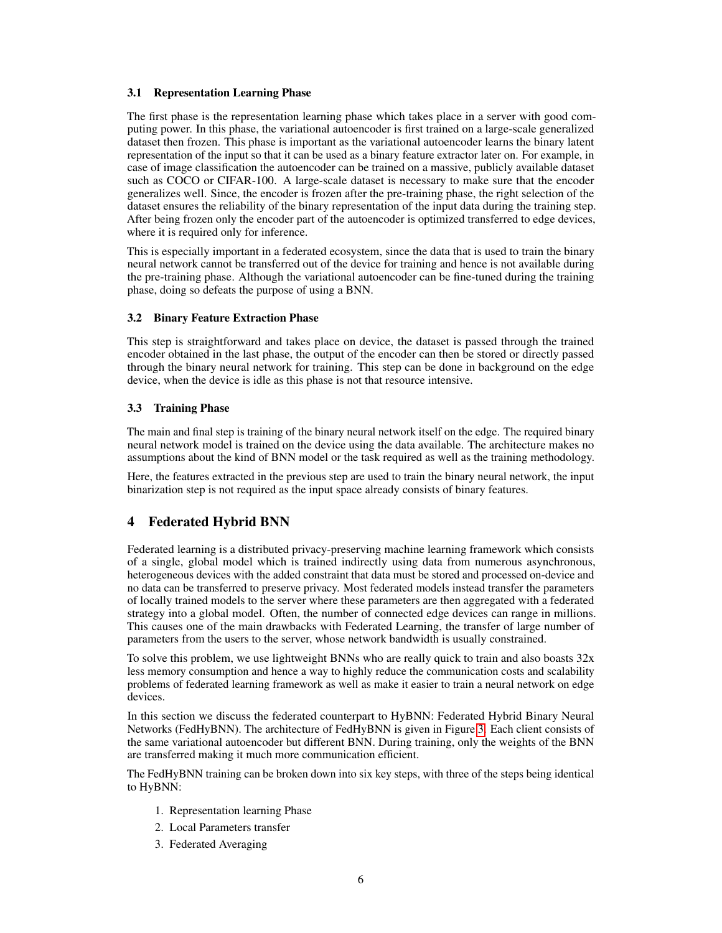#### <span id="page-5-1"></span>3.1 Representation Learning Phase

The first phase is the representation learning phase which takes place in a server with good computing power. In this phase, the variational autoencoder is first trained on a large-scale generalized dataset then frozen. This phase is important as the variational autoencoder learns the binary latent representation of the input so that it can be used as a binary feature extractor later on. For example, in case of image classification the autoencoder can be trained on a massive, publicly available dataset such as COCO or CIFAR-100. A large-scale dataset is necessary to make sure that the encoder generalizes well. Since, the encoder is frozen after the pre-training phase, the right selection of the dataset ensures the reliability of the binary representation of the input data during the training step. After being frozen only the encoder part of the autoencoder is optimized transferred to edge devices, where it is required only for inference.

This is especially important in a federated ecosystem, since the data that is used to train the binary neural network cannot be transferred out of the device for training and hence is not available during the pre-training phase. Although the variational autoencoder can be fine-tuned during the training phase, doing so defeats the purpose of using a BNN.

#### <span id="page-5-2"></span>3.2 Binary Feature Extraction Phase

This step is straightforward and takes place on device, the dataset is passed through the trained encoder obtained in the last phase, the output of the encoder can then be stored or directly passed through the binary neural network for training. This step can be done in background on the edge device, when the device is idle as this phase is not that resource intensive.

### <span id="page-5-3"></span>3.3 Training Phase

The main and final step is training of the binary neural network itself on the edge. The required binary neural network model is trained on the device using the data available. The architecture makes no assumptions about the kind of BNN model or the task required as well as the training methodology.

Here, the features extracted in the previous step are used to train the binary neural network, the input binarization step is not required as the input space already consists of binary features.

# <span id="page-5-0"></span>4 Federated Hybrid BNN

Federated learning is a distributed privacy-preserving machine learning framework which consists of a single, global model which is trained indirectly using data from numerous asynchronous, heterogeneous devices with the added constraint that data must be stored and processed on-device and no data can be transferred to preserve privacy. Most federated models instead transfer the parameters of locally trained models to the server where these parameters are then aggregated with a federated strategy into a global model. Often, the number of connected edge devices can range in millions. This causes one of the main drawbacks with Federated Learning, the transfer of large number of parameters from the users to the server, whose network bandwidth is usually constrained.

To solve this problem, we use lightweight BNNs who are really quick to train and also boasts  $32x$ less memory consumption and hence a way to highly reduce the communication costs and scalability problems of federated learning framework as well as make it easier to train a neural network on edge devices.

In this section we discuss the federated counterpart to HyBNN: Federated Hybrid Binary Neural Networks (FedHyBNN). The architecture of FedHyBNN is given in Figure [3.](#page-6-0) Each client consists of the same variational autoencoder but different BNN. During training, only the weights of the BNN are transferred making it much more communication efficient.

The FedHyBNN training can be broken down into six key steps, with three of the steps being identical to HyBNN:

- 1. Representation learning Phase
- 2. Local Parameters transfer
- 3. Federated Averaging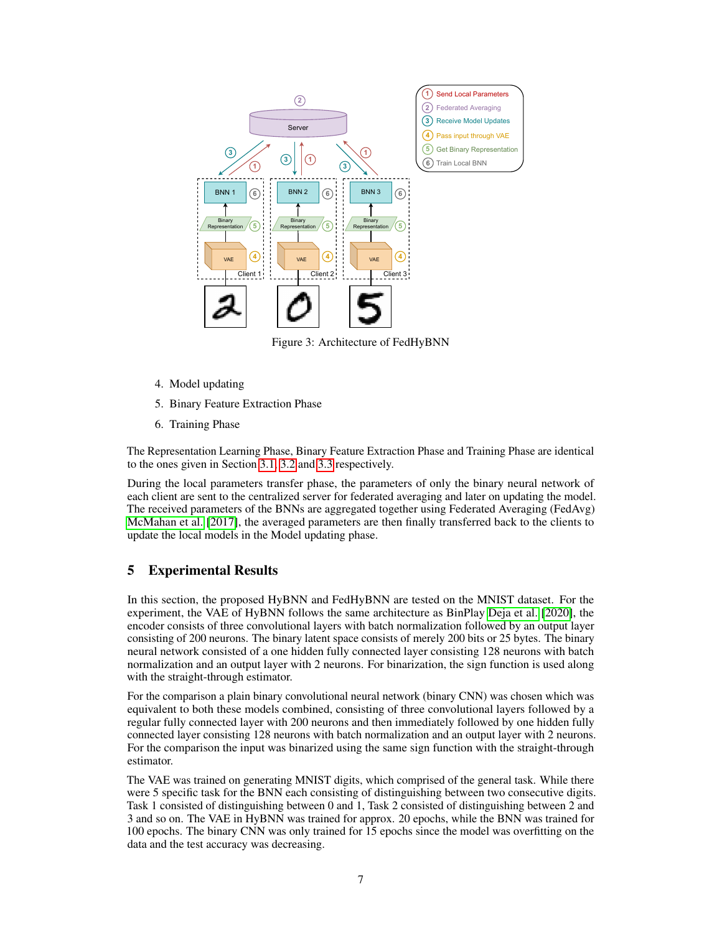<span id="page-6-0"></span>

Figure 3: Architecture of FedHyBNN

- 4. Model updating
- 5. Binary Feature Extraction Phase
- 6. Training Phase

The Representation Learning Phase, Binary Feature Extraction Phase and Training Phase are identical to the ones given in Section [3.1,](#page-5-1) [3.2](#page-5-2) and [3.3](#page-5-3) respectively.

During the local parameters transfer phase, the parameters of only the binary neural network of each client are sent to the centralized server for federated averaging and later on updating the model. The received parameters of the BNNs are aggregated together using Federated Averaging (FedAvg) [McMahan et al.](#page-10-6) [\[2017\]](#page-10-6), the averaged parameters are then finally transferred back to the clients to update the local models in the Model updating phase.

# 5 Experimental Results

In this section, the proposed HyBNN and FedHyBNN are tested on the MNIST dataset. For the experiment, the VAE of HyBNN follows the same architecture as BinPlay [Deja et al.](#page-10-2) [\[2020\]](#page-10-2), the encoder consists of three convolutional layers with batch normalization followed by an output layer consisting of 200 neurons. The binary latent space consists of merely 200 bits or 25 bytes. The binary neural network consisted of a one hidden fully connected layer consisting 128 neurons with batch normalization and an output layer with 2 neurons. For binarization, the sign function is used along with the straight-through estimator.

For the comparison a plain binary convolutional neural network (binary CNN) was chosen which was equivalent to both these models combined, consisting of three convolutional layers followed by a regular fully connected layer with 200 neurons and then immediately followed by one hidden fully connected layer consisting 128 neurons with batch normalization and an output layer with 2 neurons. For the comparison the input was binarized using the same sign function with the straight-through estimator.

The VAE was trained on generating MNIST digits, which comprised of the general task. While there were 5 specific task for the BNN each consisting of distinguishing between two consecutive digits. Task 1 consisted of distinguishing between 0 and 1, Task 2 consisted of distinguishing between 2 and 3 and so on. The VAE in HyBNN was trained for approx. 20 epochs, while the BNN was trained for 100 epochs. The binary CNN was only trained for 15 epochs since the model was overfitting on the data and the test accuracy was decreasing.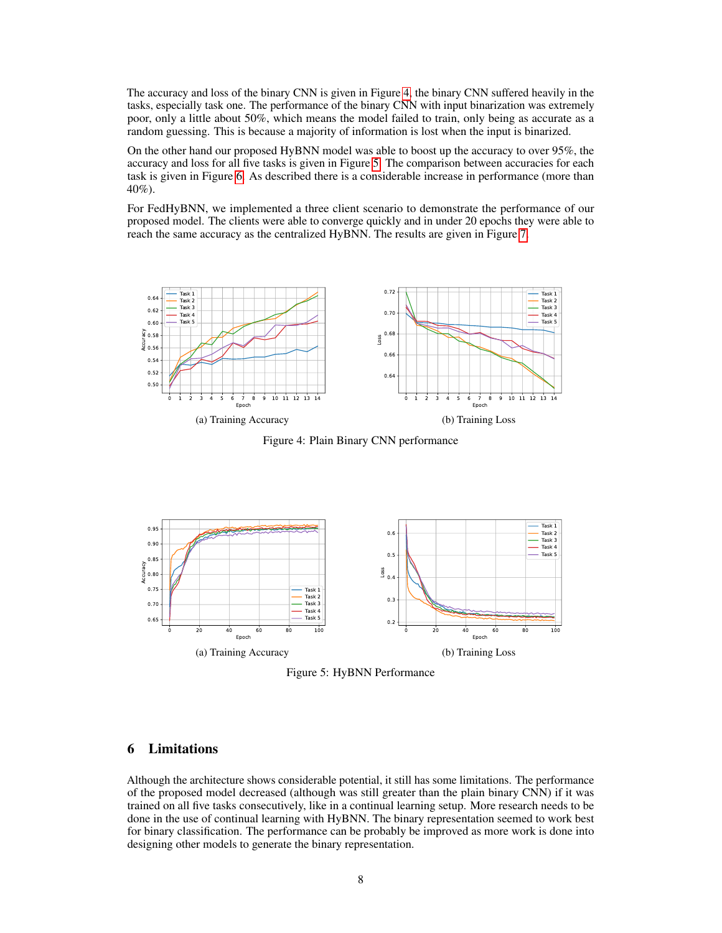The accuracy and loss of the binary CNN is given in Figure [4,](#page-7-0) the binary CNN suffered heavily in the tasks, especially task one. The performance of the binary CNN with input binarization was extremely poor, only a little about 50%, which means the model failed to train, only being as accurate as a random guessing. This is because a majority of information is lost when the input is binarized.

On the other hand our proposed HyBNN model was able to boost up the accuracy to over 95%, the accuracy and loss for all five tasks is given in Figure [5.](#page-7-1) The comparison between accuracies for each task is given in Figure [6.](#page-8-4) As described there is a considerable increase in performance (more than 40%).

For FedHyBNN, we implemented a three client scenario to demonstrate the performance of our proposed model. The clients were able to converge quickly and in under 20 epochs they were able to reach the same accuracy as the centralized HyBNN. The results are given in Figure [7.](#page-8-5)

<span id="page-7-0"></span>

Figure 4: Plain Binary CNN performance

<span id="page-7-1"></span>

Figure 5: HyBNN Performance

## 6 Limitations

Although the architecture shows considerable potential, it still has some limitations. The performance of the proposed model decreased (although was still greater than the plain binary CNN) if it was trained on all five tasks consecutively, like in a continual learning setup. More research needs to be done in the use of continual learning with HyBNN. The binary representation seemed to work best for binary classification. The performance can be probably be improved as more work is done into designing other models to generate the binary representation.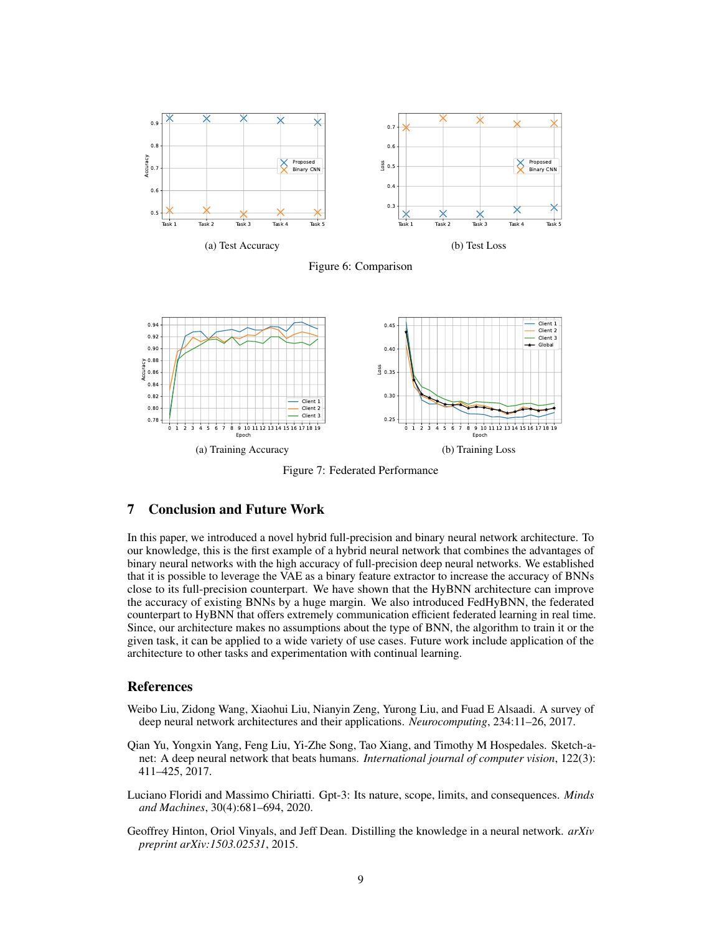<span id="page-8-4"></span>



<span id="page-8-5"></span>

Figure 7: Federated Performance

## 7 Conclusion and Future Work

In this paper, we introduced a novel hybrid full-precision and binary neural network architecture. To our knowledge, this is the first example of a hybrid neural network that combines the advantages of binary neural networks with the high accuracy of full-precision deep neural networks. We established that it is possible to leverage the VAE as a binary feature extractor to increase the accuracy of BNNs close to its full-precision counterpart. We have shown that the HyBNN architecture can improve the accuracy of existing BNNs by a huge margin. We also introduced FedHyBNN, the federated counterpart to HyBNN that offers extremely communication efficient federated learning in real time. Since, our architecture makes no assumptions about the type of BNN, the algorithm to train it or the given task, it can be applied to a wide variety of use cases. Future work include application of the architecture to other tasks and experimentation with continual learning.

#### References

- <span id="page-8-0"></span>Weibo Liu, Zidong Wang, Xiaohui Liu, Nianyin Zeng, Yurong Liu, and Fuad E Alsaadi. A survey of deep neural network architectures and their applications. *Neurocomputing*, 234:11–26, 2017.
- <span id="page-8-1"></span>Qian Yu, Yongxin Yang, Feng Liu, Yi-Zhe Song, Tao Xiang, and Timothy M Hospedales. Sketch-anet: A deep neural network that beats humans. *International journal of computer vision*, 122(3): 411–425, 2017.
- <span id="page-8-2"></span>Luciano Floridi and Massimo Chiriatti. Gpt-3: Its nature, scope, limits, and consequences. *Minds and Machines*, 30(4):681–694, 2020.
- <span id="page-8-3"></span>Geoffrey Hinton, Oriol Vinyals, and Jeff Dean. Distilling the knowledge in a neural network. *arXiv preprint arXiv:1503.02531*, 2015.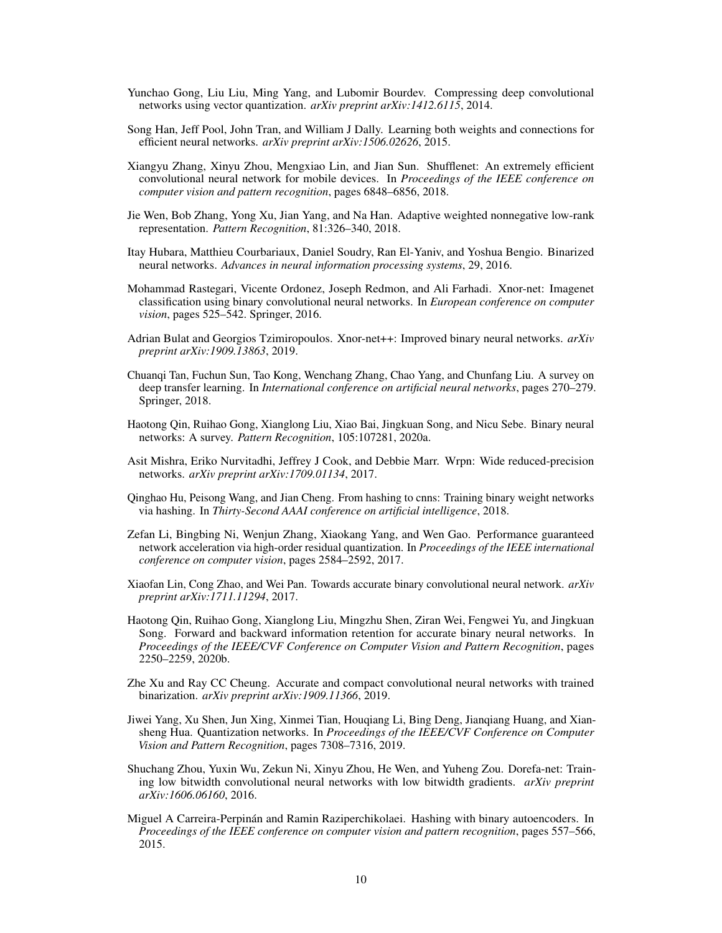- <span id="page-9-0"></span>Yunchao Gong, Liu Liu, Ming Yang, and Lubomir Bourdev. Compressing deep convolutional networks using vector quantization. *arXiv preprint arXiv:1412.6115*, 2014.
- <span id="page-9-1"></span>Song Han, Jeff Pool, John Tran, and William J Dally. Learning both weights and connections for efficient neural networks. *arXiv preprint arXiv:1506.02626*, 2015.
- <span id="page-9-2"></span>Xiangyu Zhang, Xinyu Zhou, Mengxiao Lin, and Jian Sun. Shufflenet: An extremely efficient convolutional neural network for mobile devices. In *Proceedings of the IEEE conference on computer vision and pattern recognition*, pages 6848–6856, 2018.
- <span id="page-9-3"></span>Jie Wen, Bob Zhang, Yong Xu, Jian Yang, and Na Han. Adaptive weighted nonnegative low-rank representation. *Pattern Recognition*, 81:326–340, 2018.
- <span id="page-9-4"></span>Itay Hubara, Matthieu Courbariaux, Daniel Soudry, Ran El-Yaniv, and Yoshua Bengio. Binarized neural networks. *Advances in neural information processing systems*, 29, 2016.
- <span id="page-9-5"></span>Mohammad Rastegari, Vicente Ordonez, Joseph Redmon, and Ali Farhadi. Xnor-net: Imagenet classification using binary convolutional neural networks. In *European conference on computer vision*, pages 525–542. Springer, 2016.
- <span id="page-9-6"></span>Adrian Bulat and Georgios Tzimiropoulos. Xnor-net++: Improved binary neural networks. *arXiv preprint arXiv:1909.13863*, 2019.
- <span id="page-9-7"></span>Chuanqi Tan, Fuchun Sun, Tao Kong, Wenchang Zhang, Chao Yang, and Chunfang Liu. A survey on deep transfer learning. In *International conference on artificial neural networks*, pages 270–279. Springer, 2018.
- <span id="page-9-8"></span>Haotong Qin, Ruihao Gong, Xianglong Liu, Xiao Bai, Jingkuan Song, and Nicu Sebe. Binary neural networks: A survey. *Pattern Recognition*, 105:107281, 2020a.
- <span id="page-9-9"></span>Asit Mishra, Eriko Nurvitadhi, Jeffrey J Cook, and Debbie Marr. Wrpn: Wide reduced-precision networks. *arXiv preprint arXiv:1709.01134*, 2017.
- <span id="page-9-10"></span>Qinghao Hu, Peisong Wang, and Jian Cheng. From hashing to cnns: Training binary weight networks via hashing. In *Thirty-Second AAAI conference on artificial intelligence*, 2018.
- <span id="page-9-11"></span>Zefan Li, Bingbing Ni, Wenjun Zhang, Xiaokang Yang, and Wen Gao. Performance guaranteed network acceleration via high-order residual quantization. In *Proceedings of the IEEE international conference on computer vision*, pages 2584–2592, 2017.
- <span id="page-9-12"></span>Xiaofan Lin, Cong Zhao, and Wei Pan. Towards accurate binary convolutional neural network. *arXiv preprint arXiv:1711.11294*, 2017.
- <span id="page-9-13"></span>Haotong Qin, Ruihao Gong, Xianglong Liu, Mingzhu Shen, Ziran Wei, Fengwei Yu, and Jingkuan Song. Forward and backward information retention for accurate binary neural networks. In *Proceedings of the IEEE/CVF Conference on Computer Vision and Pattern Recognition*, pages 2250–2259, 2020b.
- <span id="page-9-14"></span>Zhe Xu and Ray CC Cheung. Accurate and compact convolutional neural networks with trained binarization. *arXiv preprint arXiv:1909.11366*, 2019.
- <span id="page-9-15"></span>Jiwei Yang, Xu Shen, Jun Xing, Xinmei Tian, Houqiang Li, Bing Deng, Jianqiang Huang, and Xiansheng Hua. Quantization networks. In *Proceedings of the IEEE/CVF Conference on Computer Vision and Pattern Recognition*, pages 7308–7316, 2019.
- <span id="page-9-16"></span>Shuchang Zhou, Yuxin Wu, Zekun Ni, Xinyu Zhou, He Wen, and Yuheng Zou. Dorefa-net: Training low bitwidth convolutional neural networks with low bitwidth gradients. *arXiv preprint arXiv:1606.06160*, 2016.
- <span id="page-9-17"></span>Miguel A Carreira-Perpinán and Ramin Raziperchikolaei. Hashing with binary autoencoders. In *Proceedings of the IEEE conference on computer vision and pattern recognition*, pages 557–566, 2015.